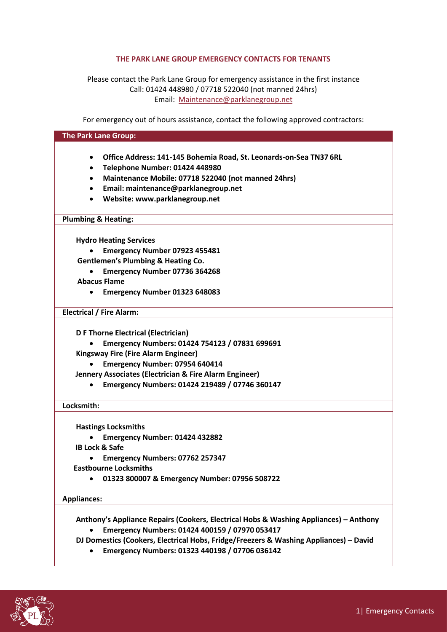# **THE PARK LANE GROUP EMERGENCY CONTACTS FOR TENANTS**

Please contact the Park Lane Group for emergency assistance in the first instance Call: 01424 448980 / 07718 522040 (not manned 24hrs) Email: [Maintenance@parklanegroup.net](mailto:Maintenance@parklanegroup.net)

For emergency out of hours assistance, contact the following approved contractors:

# **The Park Lane Group:**

- **Office Address: 141-145 Bohemia Road, St. Leonards-on-Sea TN37 6RL**
- **Telephone Number: 01424 448980**
- **Maintenance Mobile: 07718 522040 (not manned 24hrs)**
- **Email: [maintenance@parklanegroup.net](mailto:maintenance@parklanegroup.net)**
- **Website: [www.parklanegroup.net](http://www.parklanegroup.net/)**

# **Plumbing & Heating:**

**Hydro Heating Services**

- **Emergency Number 07923 455481**
- **Gentlemen's Plumbing & Heating Co.**
- **Emergency Number 07736 364268 Abacus Flame** 
	- **Emergency Number 01323 648083**

**Electrical / Fire Alarm:**

**D F Thorne Electrical (Electrician)** 

- **Emergency Numbers: 01424 754123 / 07831 699691**
- **Kingsway Fire (Fire Alarm Engineer)**
	- **Emergency Number: 07954 640414**
- **Jennery Associates (Electrician & Fire Alarm Engineer)** 
	- **Emergency Numbers: 01424 219489 / 07746 360147**

# **Locksmith:**

**Hastings Locksmiths**

- **Emergency Number: 01424 432882**
- **IB Lock & Safe**
	- **Emergency Numbers: 07762 257347**
- **Eastbourne Locksmiths**
	- **01323 800007 & Emergency Number: 07956 508722**

# **Appliances:**

**Anthony's Appliance Repairs (Cookers, Electrical Hobs & Washing Appliances) – Anthony**

- **Emergency Numbers: 01424 400159 / 07970 053417**
- **DJ Domestics (Cookers, Electrical Hobs, Fridge/Freezers & Washing Appliances) – David**
	- **Emergency Numbers: 01323 440198 / 07706 036142**